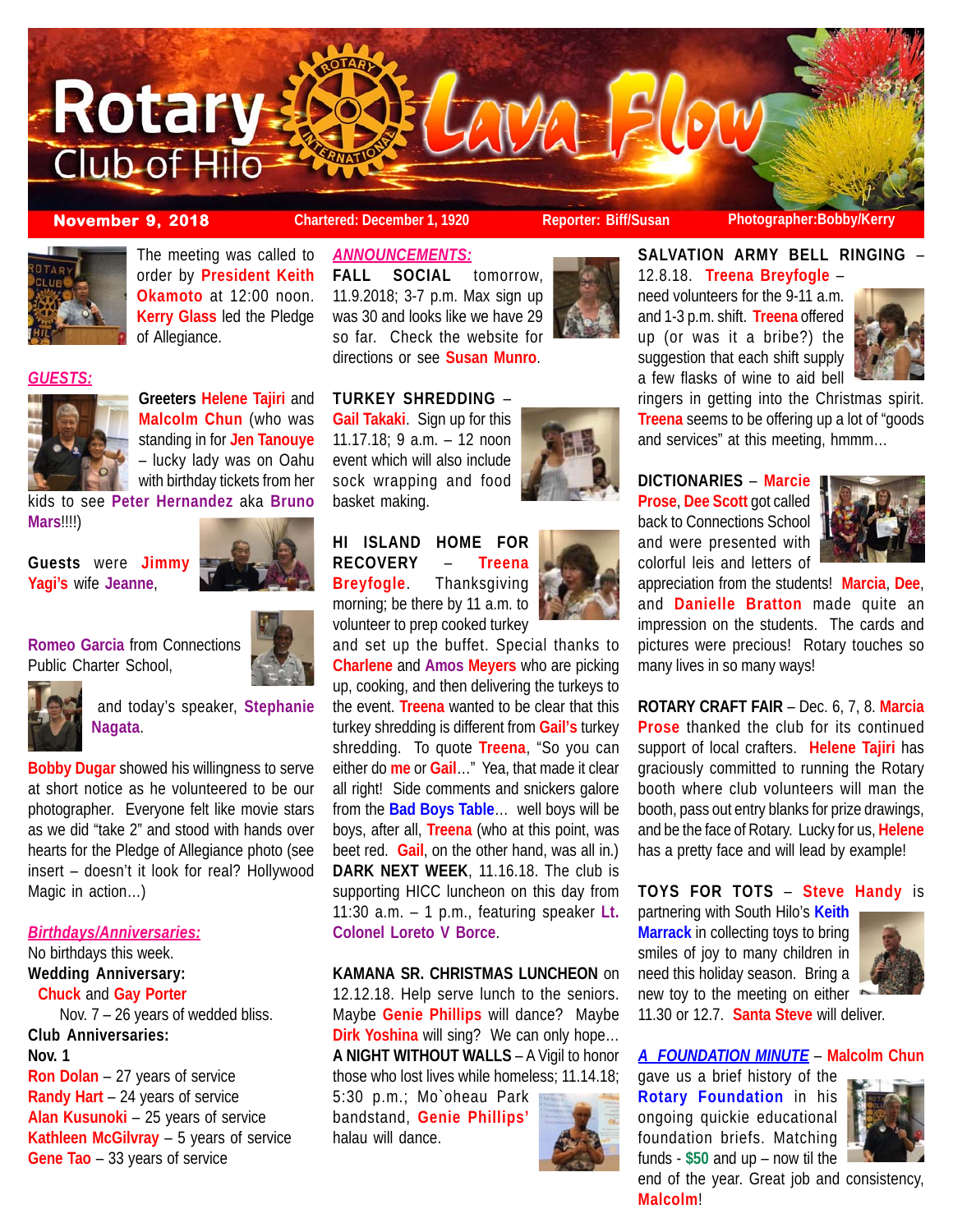

*GUESTS:*

**Mars**!!!!)

The meeting was called to order by **President Keith Okamoto** at 12:00 noon. **Kerry Glass** led the Pledge

**Greeters Helene Tajiri** and **Malcolm Chun** (who was standing in for **Jen Tanouye** – lucky lady was on Oahu with birthday tickets from her

of Allegiance.

kids to see **Peter Hernandez** aka **Bruno**

basket making.

*ANNOUNCEMENTS:*

**FALL SOCIAL** tomorrow, 11.9.2018; 3-7 p.m. Max sign up was 30 and looks like we have 29 so far. Check the website for directions or see **Susan Munro**.

**TURKEY SHREDDING** – **Gail Takaki**. Sign up for this 11.17.18; 9 a.m. – 12 noon event which will also include

**November 9, 2018 Chartered: December 1, 1920 Reporter: Biff/Susan Photographer:Bobby/Kerry**

**SALVATION ARMY BELL RINGING** –

12.8.18. **Treena Breyfogle** – need volunteers for the 9-11 a.m. and 1-3 p.m. shift. **Treena** offered up (or was it a bribe?) the suggestion that each shift supply a few flasks of wine to aid bell



ringers in getting into the Christmas spirit. **Treena** seems to be offering up a lot of "goods and services" at this meeting, hmmm…

**DICTIONARIES** – **Marcie Prose**, **Dee Scott** got called back to Connections School and were presented with colorful leis and letters of



appreciation from the students! **Marcia**, **Dee**, and **Danielle Bratton** made quite an impression on the students. The cards and pictures were precious! Rotary touches so many lives in so many ways!

**ROTARY CRAFT FAIR** – Dec. 6, 7, 8. **Marcia Prose** thanked the club for its continued support of local crafters. **Helene Tajiri** has graciously committed to running the Rotary booth where club volunteers will man the booth, pass out entry blanks for prize drawings, and be the face of Rotary. Lucky for us, **Helene** has a pretty face and will lead by example!

# **TOYS FOR TOTS** – **Steve Handy** is

partnering with South Hilo's **Keith Marrack** in collecting toys to bring smiles of joy to many children in need this holiday season. Bring a new toy to the meeting on either



11.30 or 12.7. **Santa Steve** will deliver.

#### *A FOUNDATION MINUTE* – **Malcolm Chun**

gave us a brief history of the **Rotary Foundation** in his ongoing quickie educational foundation briefs. Matching funds - **\$50** and up – now til the end of the year. Great job and consistency,

**Malcolm**!



**KAMANA SR. CHRISTMAS LUNCHEON** on 12.12.18. Help serve lunch to the seniors. Maybe **Genie Phillips** will dance? Maybe **Dirk Yoshina** will sing? We can only hope… **A NIGHT WITHOUT WALLS** – A Vigil to honor those who lost lives while homeless; 11.14.18;

bandstand, **Genie Phillips'** halau will dance.





# **HI ISLAND HOME FOR RECOVERY** – **Treena Breyfogle**. Thanksgiving morning; be there by 11 a.m. to

volunteer to prep cooked turkey

and set up the buffet. Special thanks to **Charlene** and **Amos Meyers** who are picking up, cooking, and then delivering the turkeys to the event. **Treena** wanted to be clear that this turkey shredding is different from **Gail's** turkey shredding. To quote **Treena**, "So you can either do **me** or **Gail**…" Yea, that made it clear all right! Side comments and snickers galore from the **Bad Boys Table**… well boys will be boys, after all, **Treena** (who at this point, was beet red. **Gail**, on the other hand, was all in.) **DARK NEXT WEEK**, 11.16.18. The club is supporting HICC luncheon on this day from 11:30 a.m. – 1 p.m., featuring speaker **Lt. Colonel Loreto V Borce**.





**Romeo Garcia** from Connections

**Guests** were **Jimmy Yagi's** wife **Jeanne**,

Public Charter School,

and today's speaker, **Stephanie**

**Bobby Dugar** showed his willingness to serve at short notice as he volunteered to be our photographer. Everyone felt like movie stars as we did "take 2" and stood with hands over hearts for the Pledge of Allegiance photo (see insert – doesn't it look for real? Hollywood Magic in action…)

# *Birthdays/Anniversaries:*

No birthdays this week. **Wedding Anniversary: Chuck** and **Gay Porter** Nov. 7 – 26 years of wedded bliss. **Club Anniversaries: Nov. 1 Ron Dolan** – 27 years of service **Randy Hart** – 24 years of service

**Alan Kusunoki** – 25 years of service **Kathleen McGilvray** – 5 years of service **Gene Tao** – 33 years of service